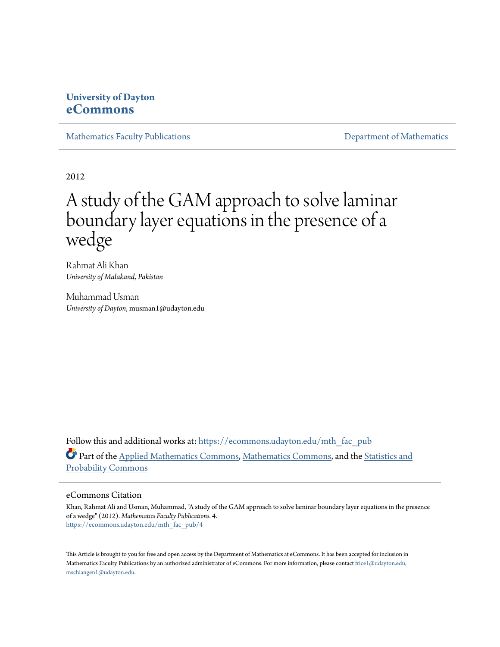## **University of Dayton [eCommons](https://ecommons.udayton.edu?utm_source=ecommons.udayton.edu%2Fmth_fac_pub%2F4&utm_medium=PDF&utm_campaign=PDFCoverPages)**

[Mathematics Faculty Publications](https://ecommons.udayton.edu/mth_fac_pub?utm_source=ecommons.udayton.edu%2Fmth_fac_pub%2F4&utm_medium=PDF&utm_campaign=PDFCoverPages) **[Department of Mathematics](https://ecommons.udayton.edu/mth?utm_source=ecommons.udayton.edu%2Fmth_fac_pub%2F4&utm_medium=PDF&utm_campaign=PDFCoverPages)** 

2012

## A study of the GAM approach to solve laminar boundary layer equations in the presence of a wedge

Rahmat Ali Khan *University of Malakand, Pakistan*

Muhammad Usman *University of Dayton*, musman1@udayton.edu

Follow this and additional works at: [https://ecommons.udayton.edu/mth\\_fac\\_pub](https://ecommons.udayton.edu/mth_fac_pub?utm_source=ecommons.udayton.edu%2Fmth_fac_pub%2F4&utm_medium=PDF&utm_campaign=PDFCoverPages) Part of the [Applied Mathematics Commons](http://network.bepress.com/hgg/discipline/115?utm_source=ecommons.udayton.edu%2Fmth_fac_pub%2F4&utm_medium=PDF&utm_campaign=PDFCoverPages), [Mathematics Commons,](http://network.bepress.com/hgg/discipline/174?utm_source=ecommons.udayton.edu%2Fmth_fac_pub%2F4&utm_medium=PDF&utm_campaign=PDFCoverPages) and the [Statistics and](http://network.bepress.com/hgg/discipline/208?utm_source=ecommons.udayton.edu%2Fmth_fac_pub%2F4&utm_medium=PDF&utm_campaign=PDFCoverPages) [Probability Commons](http://network.bepress.com/hgg/discipline/208?utm_source=ecommons.udayton.edu%2Fmth_fac_pub%2F4&utm_medium=PDF&utm_campaign=PDFCoverPages)

#### eCommons Citation

Khan, Rahmat Ali and Usman, Muhammad, "A study of the GAM approach to solve laminar boundary layer equations in the presence of a wedge" (2012). *Mathematics Faculty Publications*. 4. [https://ecommons.udayton.edu/mth\\_fac\\_pub/4](https://ecommons.udayton.edu/mth_fac_pub/4?utm_source=ecommons.udayton.edu%2Fmth_fac_pub%2F4&utm_medium=PDF&utm_campaign=PDFCoverPages)

This Article is brought to you for free and open access by the Department of Mathematics at eCommons. It has been accepted for inclusion in Mathematics Faculty Publications by an authorized administrator of eCommons. For more information, please contact [frice1@udayton.edu,](mailto:frice1@udayton.edu,%20mschlangen1@udayton.edu) [mschlangen1@udayton.edu.](mailto:frice1@udayton.edu,%20mschlangen1@udayton.edu)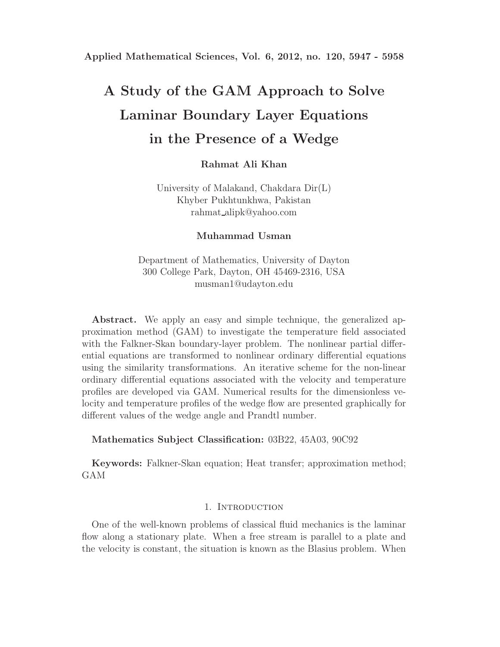# **A Study of the GAM Approach to Solve Laminar Boundary Layer Equations in the Presence of a Wedge**

**Rahmat Ali Khan**

University of Malakand, Chakdara Dir(L) Khyber Pukhtunkhwa, Pakistan rahmat alipk@yahoo.com

**Muhammad Usman**

Department of Mathematics, University of Dayton 300 College Park, Dayton, OH 45469-2316, USA musman1@udayton.edu

**Abstract.** We apply an easy and simple technique, the generalized approximation method (GAM) to investigate the temperature field associated with the Falkner-Skan boundary-layer problem. The nonlinear partial differential equations are transformed to nonlinear ordinary differential equations using the similarity transformations. An iterative scheme for the non-linear ordinary differential equations associated with the velocity and temperature profiles are developed via GAM. Numerical results for the dimensionless velocity and temperature profiles of the wedge flow are presented graphically for different values of the wedge angle and Prandtl number.

**Mathematics Subject Classification:** 03B22, 45A03, 90C92

**Keywords:** Falkner-Skan equation; Heat transfer; approximation method; GAM

## 1. INTRODUCTION

One of the well-known problems of classical fluid mechanics is the laminar flow along a stationary plate. When a free stream is parallel to a plate and the velocity is constant, the situation is known as the Blasius problem. When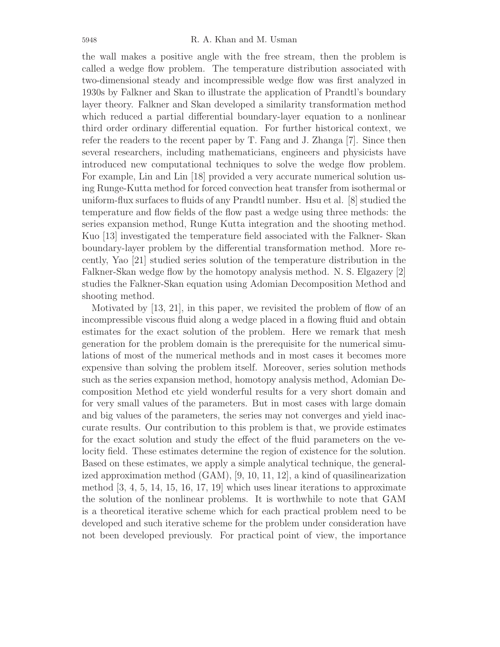the wall makes a positive angle with the free stream, then the problem is called a wedge flow problem. The temperature distribution associated with two-dimensional steady and incompressible wedge flow was first analyzed in 1930s by Falkner and Skan to illustrate the application of Prandtl's boundary layer theory. Falkner and Skan developed a similarity transformation method which reduced a partial differential boundary-layer equation to a nonlinear third order ordinary differential equation. For further historical context, we refer the readers to the recent paper by T. Fang and J. Zhanga [7]. Since then several researchers, including mathematicians, engineers and physicists have introduced new computational techniques to solve the wedge flow problem. For example, Lin and Lin [18] provided a very accurate numerical solution using Runge-Kutta method for forced convection heat transfer from isothermal or uniform-flux surfaces to fluids of any Prandtl number. Hsu et al. [8] studied the temperature and flow fields of the flow past a wedge using three methods: the series expansion method, Runge Kutta integration and the shooting method. Kuo [13] investigated the temperature field associated with the Falkner- Skan boundary-layer problem by the differential transformation method. More recently, Yao [21] studied series solution of the temperature distribution in the Falkner-Skan wedge flow by the homotopy analysis method. N. S. Elgazery [2] studies the Falkner-Skan equation using Adomian Decomposition Method and shooting method.

Motivated by [13, 21], in this paper, we revisited the problem of flow of an incompressible viscous fluid along a wedge placed in a flowing fluid and obtain estimates for the exact solution of the problem. Here we remark that mesh generation for the problem domain is the prerequisite for the numerical simulations of most of the numerical methods and in most cases it becomes more expensive than solving the problem itself. Moreover, series solution methods such as the series expansion method, homotopy analysis method, Adomian Decomposition Method etc yield wonderful results for a very short domain and for very small values of the parameters. But in most cases with large domain and big values of the parameters, the series may not converges and yield inaccurate results. Our contribution to this problem is that, we provide estimates for the exact solution and study the effect of the fluid parameters on the velocity field. These estimates determine the region of existence for the solution. Based on these estimates, we apply a simple analytical technique, the generalized approximation method (GAM), [9, 10, 11, 12], a kind of quasilinearization method  $\left[3, 4, 5, 14, 15, 16, 17, 19\right]$  which uses linear iterations to approximate the solution of the nonlinear problems. It is worthwhile to note that GAM is a theoretical iterative scheme which for each practical problem need to be developed and such iterative scheme for the problem under consideration have not been developed previously. For practical point of view, the importance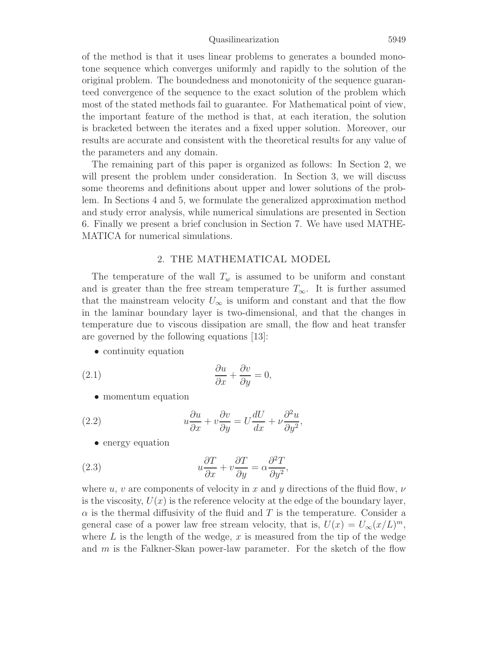#### Quasilinearization 5949

of the method is that it uses linear problems to generates a bounded monotone sequence which converges uniformly and rapidly to the solution of the original problem. The boundedness and monotonicity of the sequence guaranteed convergence of the sequence to the exact solution of the problem which most of the stated methods fail to guarantee. For Mathematical point of view, the important feature of the method is that, at each iteration, the solution is bracketed between the iterates and a fixed upper solution. Moreover, our results are accurate and consistent with the theoretical results for any value of the parameters and any domain.

The remaining part of this paper is organized as follows: In Section 2, we will present the problem under consideration. In Section 3, we will discuss some theorems and definitions about upper and lower solutions of the problem. In Sections 4 and 5, we formulate the generalized approximation method and study error analysis, while numerical simulations are presented in Section 6. Finally we present a brief conclusion in Section 7. We have used MATHE-MATICA for numerical simulations.

## 2. THE MATHEMATICAL MODEL

The temperature of the wall  $T_w$  is assumed to be uniform and constant and is greater than the free stream temperature  $T_{\infty}$ . It is further assumed that the mainstream velocity  $U_{\infty}$  is uniform and constant and that the flow in the laminar boundary layer is two-dimensional, and that the changes in temperature due to viscous dissipation are small, the flow and heat transfer are governed by the following equations [13]:

• continuity equation

(2.1) 
$$
\frac{\partial u}{\partial x} + \frac{\partial v}{\partial y} = 0,
$$

• momentum equation

(2.2) 
$$
u\frac{\partial u}{\partial x} + v\frac{\partial v}{\partial y} = U\frac{dU}{dx} + \nu\frac{\partial^2 u}{\partial y^2},
$$

• energy equation

(2.3) 
$$
u\frac{\partial T}{\partial x} + v\frac{\partial T}{\partial y} = \alpha \frac{\partial^2 T}{\partial y^2},
$$

where u, v are components of velocity in x and y directions of the fluid flow,  $\nu$ is the viscosity,  $U(x)$  is the reference velocity at the edge of the boundary layer,  $\alpha$  is the thermal diffusivity of the fluid and T is the temperature. Consider a general case of a power law free stream velocity, that is,  $U(x) = U_{\infty}(x/L)^m$ , where  $L$  is the length of the wedge,  $x$  is measured from the tip of the wedge and m is the Falkner-Skan power-law parameter. For the sketch of the flow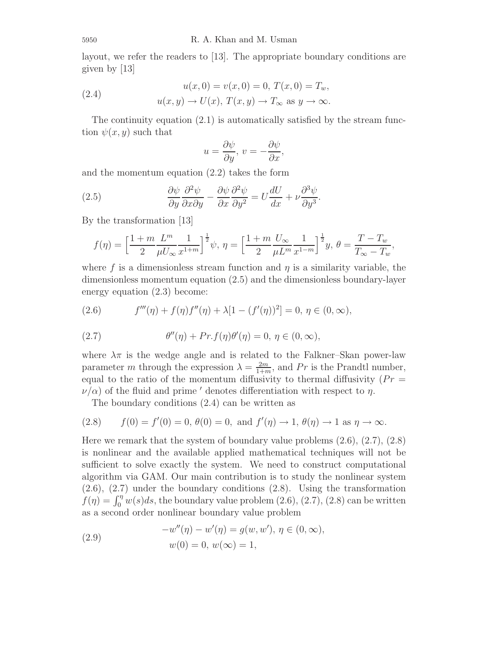layout, we refer the readers to [13]. The appropriate boundary conditions are given by [13]

(2.4) 
$$
u(x, 0) = v(x, 0) = 0, T(x, 0) = T_w,
$$

$$
u(x, y) \to U(x), T(x, y) \to T_{\infty} \text{ as } y \to \infty.
$$

The continuity equation  $(2.1)$  is automatically satisfied by the stream function  $\psi(x, y)$  such that

$$
u = \frac{\partial \psi}{\partial y}, \, v = -\frac{\partial \psi}{\partial x},
$$

and the momentum equation (2.2) takes the form

(2.5) 
$$
\frac{\partial \psi}{\partial y} \frac{\partial^2 \psi}{\partial x \partial y} - \frac{\partial \psi}{\partial x} \frac{\partial^2 \psi}{\partial y^2} = U \frac{dU}{dx} + \nu \frac{\partial^3 \psi}{\partial y^3}.
$$

By the transformation [13]

$$
f(\eta) = \left[\frac{1+m}{2} \frac{L^m}{\mu U_{\infty}} \frac{1}{x^{1+m}}\right]^{\frac{1}{2}} \psi, \ \eta = \left[\frac{1+m}{2} \frac{U_{\infty}}{\mu L^m} \frac{1}{x^{1-m}}\right]^{\frac{1}{2}} y, \ \theta = \frac{T-T_w}{T_{\infty}-T_w},
$$

where f is a dimensionless stream function and  $\eta$  is a similarity variable, the dimensionless momentum equation (2.5) and the dimensionless boundary-layer energy equation (2.3) become:

(2.6) 
$$
f'''(\eta) + f(\eta)f''(\eta) + \lambda[1 - (f'(\eta))^2] = 0, \ \eta \in (0, \infty),
$$

(2.7) 
$$
\theta''(\eta) + Pr \cdot f(\eta) \theta'(\eta) = 0, \ \eta \in (0, \infty),
$$

where  $\lambda \pi$  is the wedge angle and is related to the Falkner–Skan power-law parameter m through the expression  $\lambda = \frac{2m}{1+m}$ , and Pr is the Prandtl number, equal to the ratio of the momentum diffusivity to thermal diffusivity  $(Pr =$  $\nu/\alpha$ ) of the fluid and prime ' denotes differentiation with respect to  $\eta$ .

The boundary conditions (2.4) can be written as

(2.8) 
$$
f(0) = f'(0) = 0, \ \theta(0) = 0, \text{ and } f'(\eta) \to 1, \ \theta(\eta) \to 1 \text{ as } \eta \to \infty.
$$

Here we remark that the system of boundary value problems  $(2.6), (2.7), (2.8)$ is nonlinear and the available applied mathematical techniques will not be sufficient to solve exactly the system. We need to construct computational algorithm via GAM. Our main contribution is to study the nonlinear system (2.6), (2.7) under the boundary conditions (2.8). Using the transformation  $f(\eta) = \int_0^{\eta} w(s)ds$ , the boundary value problem  $(2.6)$ ,  $(2.7)$ ,  $(2.8)$  can be written as a second order nonlinear boundary value problem

(2.9) 
$$
-w''(\eta) - w'(\eta) = g(w, w'), \ \eta \in (0, \infty),
$$

$$
w(0) = 0, \ w(\infty) = 1,
$$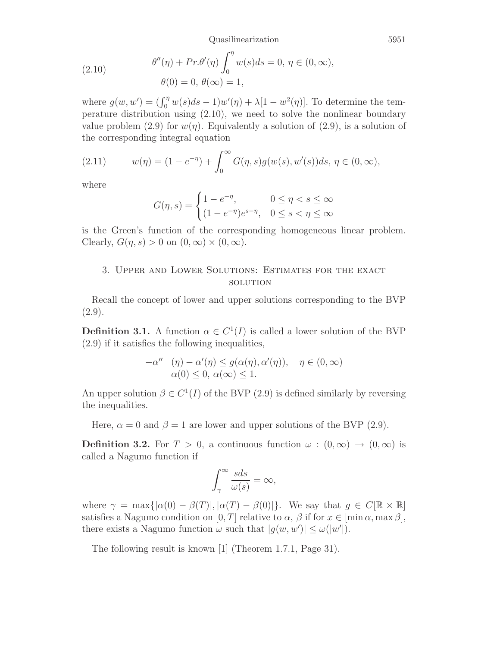Quasilinearization 5951

(2.10) 
$$
\theta''(\eta) + Pr.\theta'(\eta) \int_0^{\eta} w(s)ds = 0, \ \eta \in (0, \infty),
$$

$$
\theta(0) = 0, \ \theta(\infty) = 1,
$$

where  $g(w, w') = (\int_0^{\eta} w(s)ds - 1)w'(\eta) + \lambda[1 - w^2(\eta)]$ . To determine the temperature distribution using (2.10), we need to solve the nonlinear boundary value problem (2.9) for  $w(\eta)$ . Equivalently a solution of (2.9), is a solution of the corresponding integral equation

(2.11) 
$$
w(\eta) = (1 - e^{-\eta}) + \int_0^{\infty} G(\eta, s) g(w(s), w'(s)) ds, \ \eta \in (0, \infty),
$$

where

$$
G(\eta, s) = \begin{cases} 1 - e^{-\eta}, & 0 \le \eta < s \le \infty \\ (1 - e^{-\eta})e^{s - \eta}, & 0 \le s < \eta \le \infty \end{cases}
$$

is the Green's function of the corresponding homogeneous linear problem. Clearly,  $G(\eta, s) > 0$  on  $(0, \infty) \times (0, \infty)$ .

## 3. Upper and Lower Solutions: Estimates for the exact **SOLUTION**

Recall the concept of lower and upper solutions corresponding to the BVP  $(2.9).$ 

**Definition 3.1.** A function  $\alpha \in C^1(I)$  is called a lower solution of the BVP (2.9) if it satisfies the following inequalities,

$$
-\alpha'' \quad (\eta) - \alpha'(\eta) \le g(\alpha(\eta), \alpha'(\eta)), \quad \eta \in (0, \infty)
$$
  

$$
\alpha(0) \le 0, \alpha(\infty) \le 1.
$$

An upper solution  $\beta \in C^1(I)$  of the BVP (2.9) is defined similarly by reversing the inequalities.

Here,  $\alpha = 0$  and  $\beta = 1$  are lower and upper solutions of the BVP (2.9).

**Definition 3.2.** For  $T > 0$ , a continuous function  $\omega : (0, \infty) \to (0, \infty)$  is called a Nagumo function if

$$
\int_{\gamma}^{\infty} \frac{s ds}{\omega(s)} = \infty,
$$

where  $\gamma = \max\{|\alpha(0) - \beta(T)|, |\alpha(T) - \beta(0)|\}.$  We say that  $g \in C[\mathbb{R} \times \mathbb{R}]$ satisfies a Nagumo condition on  $[0, T]$  relative to  $\alpha$ ,  $\beta$  if for  $x \in [\min \alpha, \max \beta],$ there exists a Nagumo function  $\omega$  such that  $|g(w, w')| \leq \omega(|w'|)$ .

The following result is known [1] (Theorem 1.7.1, Page 31).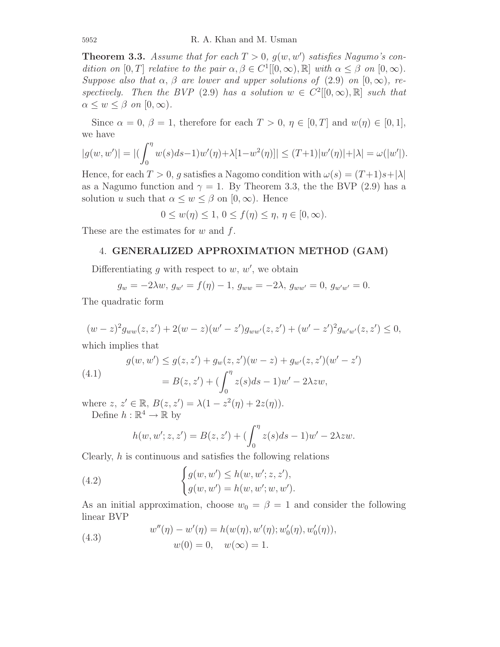**Theorem 3.3.** Assume that for each  $T > 0$ ,  $g(w, w')$  satisfies Nagumo's con*dition on*  $[0, T]$  *relative to the pair*  $\alpha, \beta \in C^1[[0, \infty), \mathbb{R}]$  *with*  $\alpha \leq \beta$  *on*  $[0, \infty)$ *. Suppose also that*  $\alpha$ ,  $\beta$  *are lower and upper solutions of* (2.9) *on* [0,  $\infty$ ), *respectively.* Then the BVP (2.9) has a solution  $w \in C^2([0,\infty),\mathbb{R}]$  such that  $\alpha \leq w \leq \beta$  *on*  $[0, \infty)$ *.* 

Since  $\alpha = 0, \beta = 1$ , therefore for each  $T > 0, \eta \in [0, T]$  and  $w(\eta) \in [0, 1]$ , we have

$$
|g(w, w')| = |(\int_0^{\eta} w(s)ds - 1)w'(\eta) + \lambda[1 - w^2(\eta)]| \le (T + 1)|w'(\eta)| + |\lambda| = \omega(|w'|).
$$

Hence, for each  $T > 0$ , g satisfies a Nagomo condition with  $\omega(s) = (T+1)s+|\lambda|$ as a Nagumo function and  $\gamma = 1$ . By Theorem 3.3, the the BVP (2.9) has a solution u such that  $\alpha \leq w \leq \beta$  on  $[0, \infty)$ . Hence

$$
0 \le w(\eta) \le 1, \quad 0 \le f(\eta) \le \eta, \quad \eta \in [0, \infty).
$$

These are the estimates for  $w$  and  $f$ .

## 4. **GENERALIZED APPROXIMATION METHOD (GAM)**

Differentiating g with respect to  $w, w'$ , we obtain

$$
g_w = -2\lambda w, \ g_{w'} = f(\eta) - 1, \ g_{ww} = -2\lambda, \ g_{ww'} = 0, \ g_{w'w'} = 0.
$$

The quadratic form

$$
(w-z)^2 g_{ww}(z, z') + 2(w-z)(w'-z') g_{ww'}(z, z') + (w'-z')^2 g_{w'w'}(z, z') \le 0,
$$

which implies that

(4.1) 
$$
g(w, w') \le g(z, z') + g_w(z, z')(w - z) + g_{w'}(z, z')(w' - z')
$$

$$
= B(z, z') + (\int_0^{\eta} z(s)ds - 1)w' - 2\lambda zw,
$$

where  $z, z' \in \mathbb{R}, B(z, z') = \lambda(1 - z^2(\eta) + 2z(\eta)).$ Define  $h : \mathbb{R}^4 \to \mathbb{R}$  by

$$
h(w, w'; z, z') = B(z, z') + \left(\int_0^{\eta} z(s)ds - 1\right)w' - 2\lambda zw.
$$

Clearly,  $h$  is continuous and satisfies the following relations

(4.2) 
$$
\begin{cases} g(w, w') \le h(w, w'; z, z'), \\ g(w, w') = h(w, w'; w, w'). \end{cases}
$$

As an initial approximation, choose  $w_0 = \beta = 1$  and consider the following linear BVP

(4.3) 
$$
w''(\eta) - w'(\eta) = h(w(\eta), w'(\eta); w'_{0}(\eta), w'_{0}(\eta)),
$$

$$
w(0) = 0, \quad w(\infty) = 1.
$$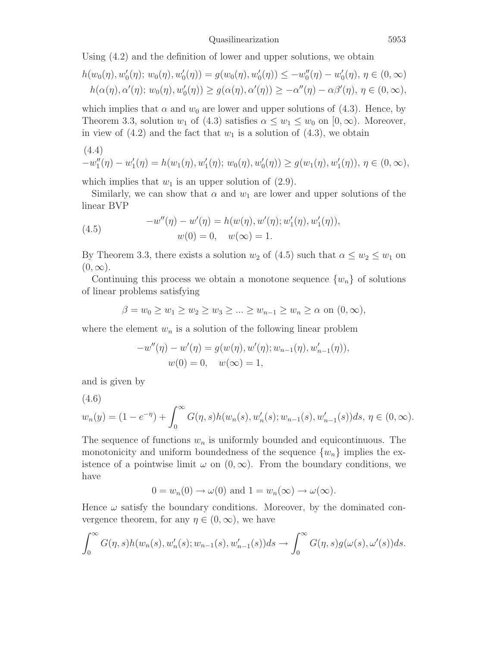Using (4.2) and the definition of lower and upper solutions, we obtain

$$
h(w_0(\eta), w'_0(\eta); w_0(\eta), w'_0(\eta)) = g(w_0(\eta), w'_0(\eta)) \le -w''_0(\eta) - w'_0(\eta), \ \eta \in (0, \infty)
$$
  

$$
h(\alpha(\eta), \alpha'(\eta); w_0(\eta), w'_0(\eta)) \ge g(\alpha(\eta), \alpha'(\eta)) \ge -\alpha''(\eta) - \alpha\beta'(\eta), \ \eta \in (0, \infty),
$$

which implies that  $\alpha$  and  $w_0$  are lower and upper solutions of (4.3). Hence, by Theorem 3.3, solution  $w_1$  of (4.3) satisfies  $\alpha \leq w_1 \leq w_0$  on  $[0, \infty)$ . Moreover, in view of  $(4.2)$  and the fact that  $w_1$  is a solution of  $(4.3)$ , we obtain

(4.4)  
\n
$$
-w''_1(\eta) - w'_1(\eta) = h(w_1(\eta), w'_1(\eta); w_0(\eta), w'_0(\eta)) \ge g(w_1(\eta), w'_1(\eta)), \ \eta \in (0, \infty),
$$

which implies that  $w_1$  is an upper solution of  $(2.9)$ .

Similarly, we can show that  $\alpha$  and  $w_1$  are lower and upper solutions of the linear BVP

(4.5) 
$$
-w''(\eta) - w'(\eta) = h(w(\eta), w'(\eta); w'_{1}(\eta), w'_{1}(\eta)),
$$

$$
w(0) = 0, \quad w(\infty) = 1.
$$

By Theorem 3.3, there exists a solution  $w_2$  of (4.5) such that  $\alpha \leq w_2 \leq w_1$  on  $(0, \infty)$ .

Continuing this process we obtain a monotone sequence  $\{w_n\}$  of solutions of linear problems satisfying

$$
\beta = w_0 \ge w_1 \ge w_2 \ge w_3 \ge \dots \ge w_{n-1} \ge w_n \ge \alpha
$$
 on  $(0, \infty)$ ,

where the element  $w_n$  is a solution of the following linear problem

$$
-w''(\eta) - w'(\eta) = g(w(\eta), w'(\eta); w_{n-1}(\eta), w'_{n-1}(\eta)),
$$
  

$$
w(0) = 0, \quad w(\infty) = 1,
$$

and is given by

$$
(4.6)
$$

$$
w_n(y) = (1 - e^{-\eta}) + \int_0^{\infty} G(\eta, s) h(w_n(s), w'_n(s); w_{n-1}(s), w'_{n-1}(s)) ds, \eta \in (0, \infty).
$$

The sequence of functions  $w_n$  is uniformly bounded and equicontinuous. The monotonicity and uniform boundedness of the sequence  $\{w_n\}$  implies the existence of a pointwise limit  $\omega$  on  $(0,\infty)$ . From the boundary conditions, we have

$$
0 = w_n(0) \to \omega(0) \text{ and } 1 = w_n(\infty) \to \omega(\infty).
$$

Hence  $\omega$  satisfy the boundary conditions. Moreover, by the dominated convergence theorem, for any  $\eta \in (0,\infty)$ , we have

$$
\int_0^\infty G(\eta,s)h(w_n(s),w_n'(s);w_{n-1}(s),w_{n-1}'(s))ds\to \int_0^\infty G(\eta,s)g(\omega(s),\omega'(s))ds.
$$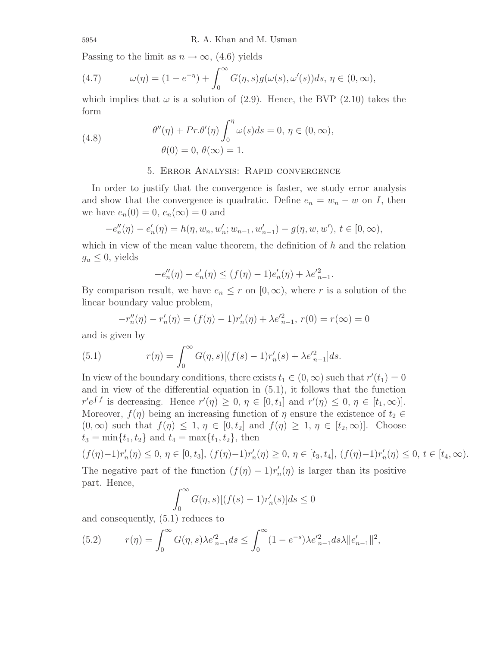Passing to the limit as  $n \to \infty$ , (4.6) yields

(4.7) 
$$
\omega(\eta) = (1 - e^{-\eta}) + \int_0^\infty G(\eta, s) g(\omega(s), \omega'(s)) ds, \eta \in (0, \infty),
$$

which implies that  $\omega$  is a solution of (2.9). Hence, the BVP (2.10) takes the form

(4.8) 
$$
\theta''(\eta) + Pr.\theta'(\eta) \int_0^{\eta} \omega(s)ds = 0, \ \eta \in (0, \infty),
$$

$$
\theta(0) = 0, \ \theta(\infty) = 1.
$$

## 5. Error Analysis: Rapid convergence

In order to justify that the convergence is faster, we study error analysis and show that the convergence is quadratic. Define  $e_n = w_n - w$  on I, then we have  $e_n(0) = 0$ ,  $e_n(\infty) = 0$  and

$$
-e''_n(\eta) - e'_n(\eta) = h(\eta, w_n, w'_n; w_{n-1}, w'_{n-1}) - g(\eta, w, w'), t \in [0, \infty),
$$

which in view of the mean value theorem, the definition of  $h$  and the relation  $g_u \leq 0$ , yields

$$
-e''_n(\eta) - e'_n(\eta) \le (f(\eta) - 1)e'_n(\eta) + \lambda e'^2_{n-1}.
$$

By comparison result, we have  $e_n \leq r$  on  $[0, \infty)$ , where r is a solution of the linear boundary value problem,

$$
-r''_n(\eta) - r'_n(\eta) = (f(\eta) - 1)r'_n(\eta) + \lambda e'^2_{n-1}, r(0) = r(\infty) = 0
$$

and is given by

(5.1) 
$$
r(\eta) = \int_0^\infty G(\eta, s) [(f(s) - 1) r'_n(s) + \lambda e'^2_{n-1}] ds.
$$

In view of the boundary conditions, there exists  $t_1 \in (0, \infty)$  such that  $r'(t_1)=0$ and in view of the differential equation in (5.1), it follows that the function  $r' e^{\int f}$  is decreasing. Hence  $r'(\eta) \geq 0, \eta \in [0, t_1]$  and  $r'(\eta) \leq 0, \eta \in [t_1, \infty)$ . Moreover,  $f(\eta)$  being an increasing function of  $\eta$  ensure the existence of  $t_2 \in$  $(0, \infty)$  such that  $f(\eta) \leq 1, \eta \in [0, t_2]$  and  $f(\eta) \geq 1, \eta \in [t_2, \infty)$ . Choose  $t_3 = \min\{t_1, t_2\}$  and  $t_4 = \max\{t_1, t_2\}$ , then

$$
(f(\eta)-1)r'_n(\eta) \leq 0, \eta \in [0, t_3], (f(\eta)-1)r'_n(\eta) \geq 0, \eta \in [t_3, t_4], (f(\eta)-1)r'_n(\eta) \leq 0, t \in [t_4, \infty).
$$
  
The negative part of the function  $(f(\eta) - 1)r'(n)$  is larger than its positive

The negative part of the function  $(f(\eta) - 1)r'_n(\eta)$  is larger than its positive part. Hence,

$$
\int_0^\infty G(\eta, s) [(f(s) - 1)r'_n(s)] ds \le 0
$$

and consequently, (5.1) reduces to

(5.2) 
$$
r(\eta) = \int_0^\infty G(\eta, s) \lambda e_{n-1}^{\prime 2} ds \le \int_0^\infty (1 - e^{-s}) \lambda e_{n-1}^{\prime 2} ds \lambda \|e_{n-1}^\prime\|^2,
$$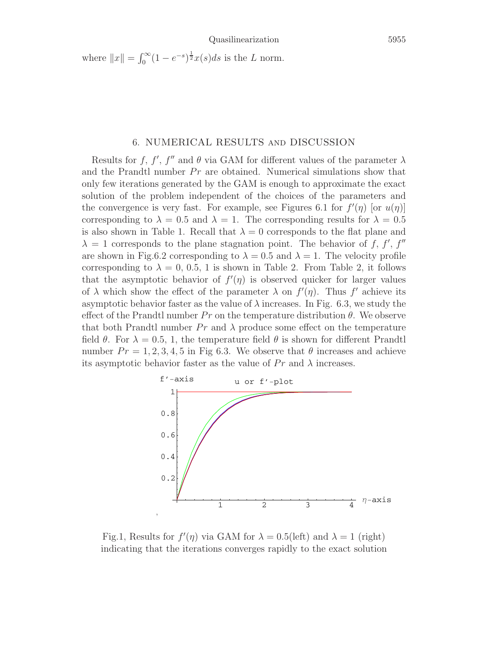where  $||x|| = \int_0^\infty (1 - e^{-s})^{\frac{1}{2}} x(s) ds$  is the L norm.

#### 6. NUMERICAL RESULTS and DISCUSSION

Results for f, f', f'' and  $\theta$  via GAM for different values of the parameter  $\lambda$ and the Prandtl number  $Pr$  are obtained. Numerical simulations show that only few iterations generated by the GAM is enough to approximate the exact solution of the problem independent of the choices of the parameters and the convergence is very fast. For example, see Figures 6.1 for  $f'(\eta)$  [or  $u(\eta)$ ] corresponding to  $\lambda = 0.5$  and  $\lambda = 1$ . The corresponding results for  $\lambda = 0.5$ is also shown in Table 1. Recall that  $\lambda = 0$  corresponds to the flat plane and  $\lambda = 1$  corresponds to the plane stagnation point. The behavior of f, f', f'' are shown in Fig.6.2 corresponding to  $\lambda = 0.5$  and  $\lambda = 1$ . The velocity profile corresponding to  $\lambda = 0, 0.5, 1$  is shown in Table 2. From Table 2, it follows that the asymptotic behavior of  $f'(\eta)$  is observed quicker for larger values of  $\lambda$  which show the effect of the parameter  $\lambda$  on  $f'(\eta)$ . Thus f' achieve its asymptotic behavior faster as the value of  $\lambda$  increases. In Fig. 6.3, we study the effect of the Prandtl number  $Pr$  on the temperature distribution  $\theta$ . We observe that both Prandtl number  $Pr$  and  $\lambda$  produce some effect on the temperature field  $\theta$ . For  $\lambda = 0.5, 1$ , the temperature field  $\theta$  is shown for different Prandtl number  $Pr = 1, 2, 3, 4, 5$  in Fig 6.3. We observe that  $\theta$  increases and achieve its asymptotic behavior faster as the value of  $Pr$  and  $\lambda$  increases.



Fig.1, Results for  $f'(\eta)$  via GAM for  $\lambda = 0.5$ (left) and  $\lambda = 1$  (right) indicating that the iterations converges rapidly to the exact solution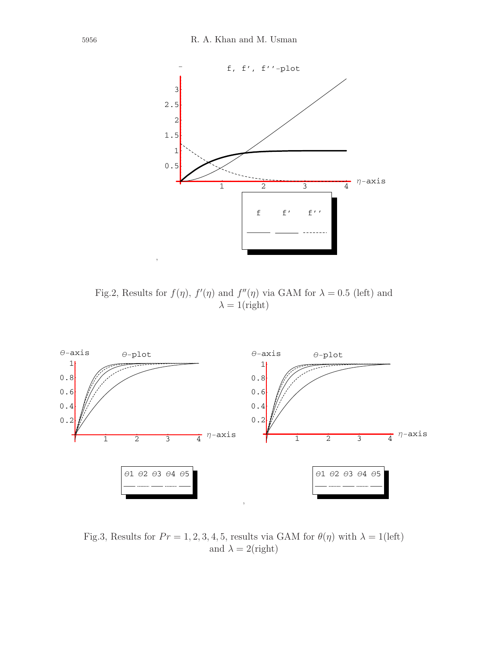

Fig.2, Results for  $f(\eta)$ ,  $f'(\eta)$  and  $f''(\eta)$  via GAM for  $\lambda = 0.5$  (left) and  $\lambda = 1$ (right)



Fig.3, Results for  $Pr = 1, 2, 3, 4, 5$ , results via GAM for  $\theta(\eta)$  with  $\lambda = 1$ (left) and  $\lambda = 2$ (right)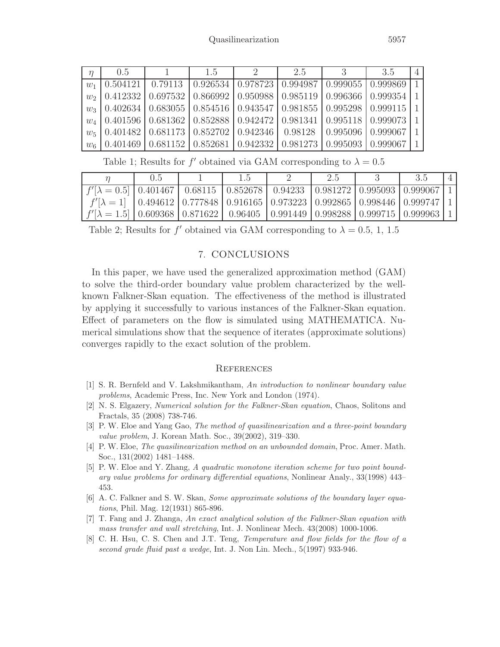| $\eta$ | 0.5 | 1 1.5 | $\overline{2}$ | 2.5 | $\overline{3}$ | 3.5                                                                                    | $\overline{4}$ |
|--------|-----|-------|----------------|-----|----------------|----------------------------------------------------------------------------------------|----------------|
|        |     |       |                |     |                | $w_1$   0.504121   0.79113   0.926534   0.978723   0.994987   0.999055   0.999869   1  |                |
|        |     |       |                |     |                | $w_2$   0.412332   0.697532   0.866992   0.950988   0.985119   0.996366   0.999354   1 |                |
|        |     |       |                |     |                | $w_3$   0.402634   0.683055   0.854516   0.943547   0.981855   0.995298   0.999115   1 |                |
|        |     |       |                |     |                | $w_4$   0.401596   0.681362   0.852888   0.942472   0.981341   0.995118   0.999073   1 |                |
|        |     |       |                |     |                | $w_5$   0.401482   0.681173   0.852702   0.942346   0.98128   0.995096   0.999067   1  |                |
|        |     |       |                |     |                | $w_6$   0.401469   0.681152   0.852681   0.942332   0.981273   0.995093   0.999067   1 |                |

Table 1; Results for f' obtained via GAM corresponding to  $\lambda = 0.5$ 

|                                                                                                       | 0.5 | 1.5 | 2.5 | 3.5 |  |
|-------------------------------------------------------------------------------------------------------|-----|-----|-----|-----|--|
| $f'[\lambda = 0.5]$   0.401467 $\sqrt{0.68115}$   0.852678   0.94233   0.981272   0.995093   0.999067 |     |     |     |     |  |
| $f'[\lambda=1]$   0.494612   0.777848   0.916165   0.973223   0.992865   0.998446   0.999747          |     |     |     |     |  |
| $f'[\lambda = 1.5]$   0.609368   0.871622   0.96405   0.991449   0.998288   0.999715   0.999963       |     |     |     |     |  |

Table 2; Results for f' obtained via GAM corresponding to  $\lambda = 0.5, 1, 1.5$ 

## 7. CONCLUSIONS

In this paper, we have used the generalized approximation method (GAM) to solve the third-order boundary value problem characterized by the wellknown Falkner-Skan equation. The effectiveness of the method is illustrated by applying it successfully to various instances of the Falkner-Skan equation. Effect of parameters on the flow is simulated using MATHEMATICA. Numerical simulations show that the sequence of iterates (approximate solutions) converges rapidly to the exact solution of the problem.

## **REFERENCES**

- [1] S. R. Bernfeld and V. Lakshmikantham, *An introduction to nonlinear boundary value problems*, Academic Press, Inc. New York and London (1974).
- [2] N. S. Elgazery, *Numerical solution for the Falkner-Skan equation*, Chaos, Solitons and Fractals, 35 (2008) 738-746.
- [3] P. W. Eloe and Yang Gao, *The method of quasilinearization and a three-point boundary value problem*, J. Korean Math. Soc., 39(2002), 319–330.
- [4] P. W. Eloe, *The quasilinearization method on an unbounded domain*, Proc. Amer. Math. Soc., 131(2002) 1481–1488.
- [5] P. W. Eloe and Y. Zhang, *A quadratic monotone iteration scheme for two point boundary value problems for ordinary differential equations*, Nonlinear Analy., 33(1998) 443– 453.
- [6] A. C. Falkner and S. W. Skan, *Some approximate solutions of the boundary layer equations*, Phil. Mag. 12(1931) 865-896.
- [7] T. Fang and J. Zhanga, *An exact analytical solution of the Falkner-Skan equation with mass transfer and wall stretching*, Int. J. Nonlinear Mech. 43(2008) 1000-1006.
- [8] C. H. Hsu, C. S. Chen and J.T. Teng, *Temperature and flow fields for the flow of a second grade fluid past a wedge*, Int. J. Non Lin. Mech., 5(1997) 933-946.